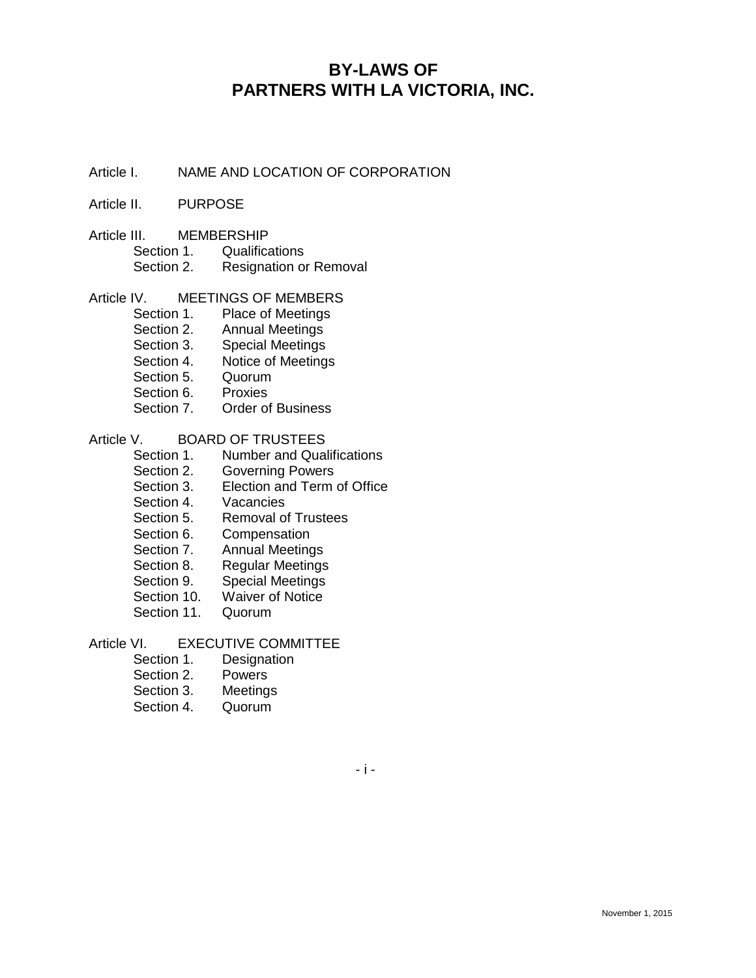# **BY-LAWS OF PARTNERS WITH LA VICTORIA, INC.**

Article I. NAME AND LOCATION OF CORPORATION

#### Article II. PURPOSE

- Article III. MEMBERSHIP
	- Section 1. Qualifications
		- Section 2. Resignation or Removal

#### Article IV. MEETINGS OF MEMBERS

- Section 1. Place of Meetings
- Section 2. Annual Meetings
- Section 3. Special Meetings
- Section 4. Notice of Meetings
- Section 5. Quorum
- Section 6. Proxies
- Section 7. Order of Business

#### Article V. BOARD OF TRUSTEES

- Section 1. Number and Qualifications
- Section 2. Governing Powers
- Section 3. Election and Term of Office
- Section 4. Vacancies
- Section 5. Removal of Trustees
- Section 6. Compensation
- Section 7. Annual Meetings
- Section 8. Regular Meetings
- Section 9. Special Meetings
- Section 10. Waiver of Notice<br>Section 11. Quorum
- Section 11.

# Article VI. EXECUTIVE COMMITTEE<br>Section 1. Designation

- **Designation**
- Section 2. Powers
- Section 3. Meetings
- Section 4. Quorum

- i -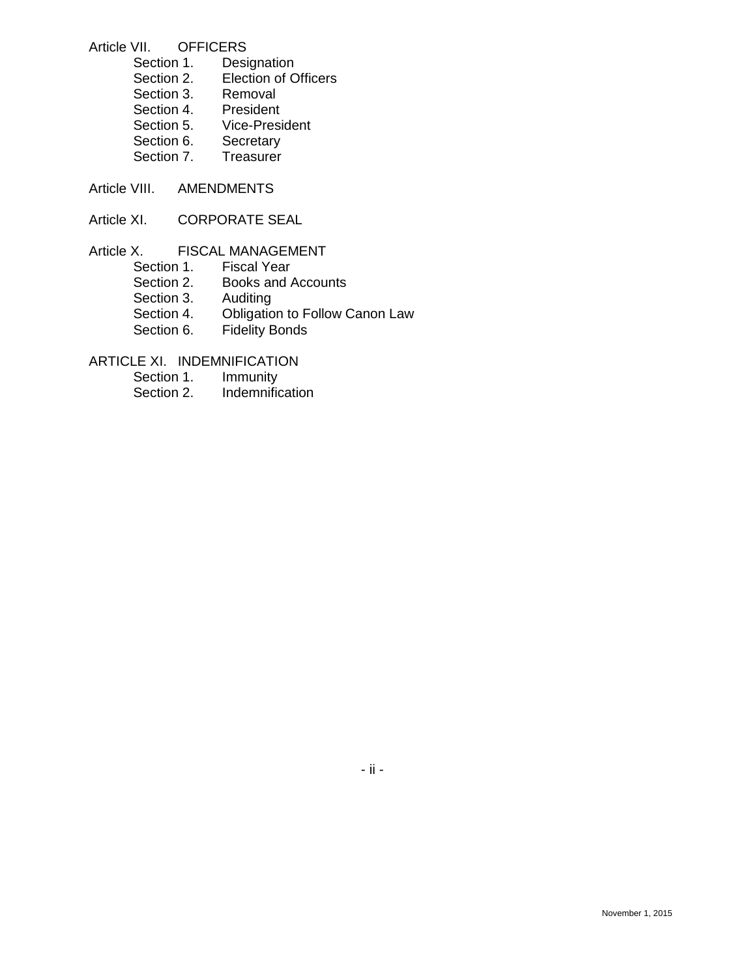#### Article VII. OFFICERS

| Section 1. | Designation                 |
|------------|-----------------------------|
| Section 2. | <b>Election of Officers</b> |
| Section 3. | Removal                     |
| Section 4. | President                   |
| Section 5. | <b>Vice-President</b>       |
| Section 6. | Secretary                   |
| Section 7. | Treasurer                   |
|            |                             |

- Article VIII. AMENDMENTS
- Article XI. CORPORATE SEAL

# Article X. FISCAL MANAGEMENT<br>Section 1. Fiscal Year Section 1. Fiscal Year<br>Section 2. Books and / Books and Accounts Section 3. Auditing Section 4. Obligation to Follow Canon Law Section 6. Fidelity Bonds

ARTICLE XI. INDEMNIFICATION

- Section 1. Immunity
- Section 2. Indemnification

# - ii -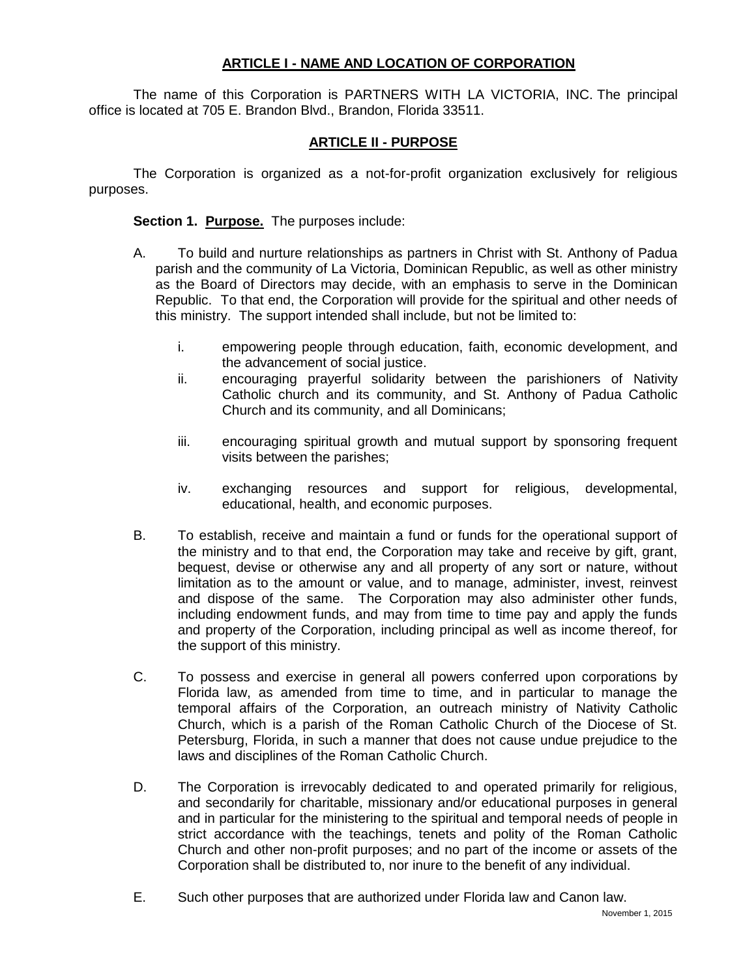#### **ARTICLE I - NAME AND LOCATION OF CORPORATION**

The name of this Corporation is PARTNERS WITH LA VICTORIA, INC. The principal office is located at 705 E. Brandon Blvd., Brandon, Florida 33511.

# **ARTICLE II - PURPOSE**

The Corporation is organized as a not-for-profit organization exclusively for religious purposes.

**Section 1. Purpose.** The purposes include:

- A. To build and nurture relationships as partners in Christ with St. Anthony of Padua parish and the community of La Victoria, Dominican Republic, as well as other ministry as the Board of Directors may decide, with an emphasis to serve in the Dominican Republic. To that end, the Corporation will provide for the spiritual and other needs of this ministry. The support intended shall include, but not be limited to:
	- i. empowering people through education, faith, economic development, and the advancement of social justice.
	- ii. encouraging prayerful solidarity between the parishioners of Nativity Catholic church and its community, and St. Anthony of Padua Catholic Church and its community, and all Dominicans;
	- iii. encouraging spiritual growth and mutual support by sponsoring frequent visits between the parishes;
	- iv. exchanging resources and support for religious, developmental, educational, health, and economic purposes.
- B. To establish, receive and maintain a fund or funds for the operational support of the ministry and to that end, the Corporation may take and receive by gift, grant, bequest, devise or otherwise any and all property of any sort or nature, without limitation as to the amount or value, and to manage, administer, invest, reinvest and dispose of the same. The Corporation may also administer other funds, including endowment funds, and may from time to time pay and apply the funds and property of the Corporation, including principal as well as income thereof, for the support of this ministry.
- C. To possess and exercise in general all powers conferred upon corporations by Florida law, as amended from time to time, and in particular to manage the temporal affairs of the Corporation, an outreach ministry of Nativity Catholic Church, which is a parish of the Roman Catholic Church of the Diocese of St. Petersburg, Florida, in such a manner that does not cause undue prejudice to the laws and disciplines of the Roman Catholic Church.
- D. The Corporation is irrevocably dedicated to and operated primarily for religious, and secondarily for charitable, missionary and/or educational purposes in general and in particular for the ministering to the spiritual and temporal needs of people in strict accordance with the teachings, tenets and polity of the Roman Catholic Church and other non-profit purposes; and no part of the income or assets of the Corporation shall be distributed to, nor inure to the benefit of any individual.
- E. Such other purposes that are authorized under Florida law and Canon law.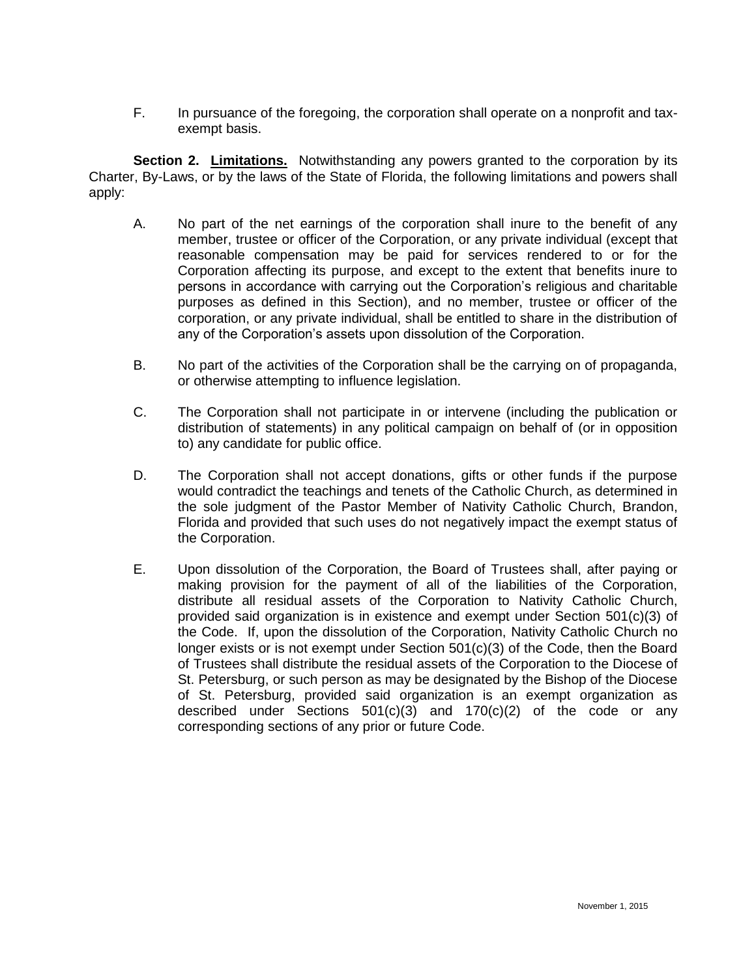F. In pursuance of the foregoing, the corporation shall operate on a nonprofit and taxexempt basis.

**Section 2. Limitations.** Notwithstanding any powers granted to the corporation by its Charter, By-Laws, or by the laws of the State of Florida, the following limitations and powers shall apply:

- A. No part of the net earnings of the corporation shall inure to the benefit of any member, trustee or officer of the Corporation, or any private individual (except that reasonable compensation may be paid for services rendered to or for the Corporation affecting its purpose, and except to the extent that benefits inure to persons in accordance with carrying out the Corporation's religious and charitable purposes as defined in this Section), and no member, trustee or officer of the corporation, or any private individual, shall be entitled to share in the distribution of any of the Corporation's assets upon dissolution of the Corporation.
- B. No part of the activities of the Corporation shall be the carrying on of propaganda, or otherwise attempting to influence legislation.
- C. The Corporation shall not participate in or intervene (including the publication or distribution of statements) in any political campaign on behalf of (or in opposition to) any candidate for public office.
- D. The Corporation shall not accept donations, gifts or other funds if the purpose would contradict the teachings and tenets of the Catholic Church, as determined in the sole judgment of the Pastor Member of Nativity Catholic Church, Brandon, Florida and provided that such uses do not negatively impact the exempt status of the Corporation.
- E. Upon dissolution of the Corporation, the Board of Trustees shall, after paying or making provision for the payment of all of the liabilities of the Corporation, distribute all residual assets of the Corporation to Nativity Catholic Church, provided said organization is in existence and exempt under Section 501(c)(3) of the Code. If, upon the dissolution of the Corporation, Nativity Catholic Church no longer exists or is not exempt under Section 501(c)(3) of the Code, then the Board of Trustees shall distribute the residual assets of the Corporation to the Diocese of St. Petersburg, or such person as may be designated by the Bishop of the Diocese of St. Petersburg, provided said organization is an exempt organization as described under Sections 501(c)(3) and 170(c)(2) of the code or any corresponding sections of any prior or future Code.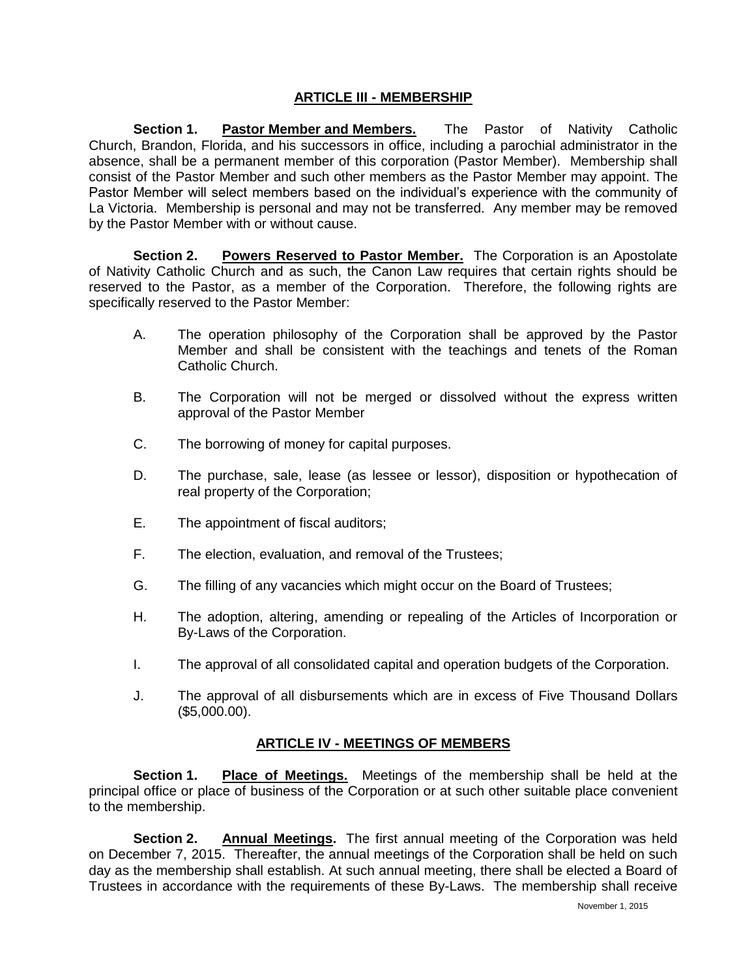# **ARTICLE III - MEMBERSHIP**

**Section 1. Pastor Member and Members.** The Pastor of Nativity Catholic Church, Brandon, Florida, and his successors in office, including a parochial administrator in the absence, shall be a permanent member of this corporation (Pastor Member). Membership shall consist of the Pastor Member and such other members as the Pastor Member may appoint. The Pastor Member will select members based on the individual's experience with the community of La Victoria. Membership is personal and may not be transferred. Any member may be removed by the Pastor Member with or without cause.

**Section 2. Powers Reserved to Pastor Member.** The Corporation is an Apostolate of Nativity Catholic Church and as such, the Canon Law requires that certain rights should be reserved to the Pastor, as a member of the Corporation. Therefore, the following rights are specifically reserved to the Pastor Member:

- A. The operation philosophy of the Corporation shall be approved by the Pastor Member and shall be consistent with the teachings and tenets of the Roman Catholic Church.
- B. The Corporation will not be merged or dissolved without the express written approval of the Pastor Member
- C. The borrowing of money for capital purposes.
- D. The purchase, sale, lease (as lessee or lessor), disposition or hypothecation of real property of the Corporation;
- E. The appointment of fiscal auditors;
- F. The election, evaluation, and removal of the Trustees;
- G. The filling of any vacancies which might occur on the Board of Trustees;
- H. The adoption, altering, amending or repealing of the Articles of Incorporation or By-Laws of the Corporation.
- I. The approval of all consolidated capital and operation budgets of the Corporation.
- J. The approval of all disbursements which are in excess of Five Thousand Dollars (\$5,000.00).

## **ARTICLE IV - MEETINGS OF MEMBERS**

**Section 1. Place of Meetings.** Meetings of the membership shall be held at the principal office or place of business of the Corporation or at such other suitable place convenient to the membership.

**Section 2. Annual Meetings.** The first annual meeting of the Corporation was held on December 7, 2015. Thereafter, the annual meetings of the Corporation shall be held on such day as the membership shall establish. At such annual meeting, there shall be elected a Board of Trustees in accordance with the requirements of these By-Laws. The membership shall receive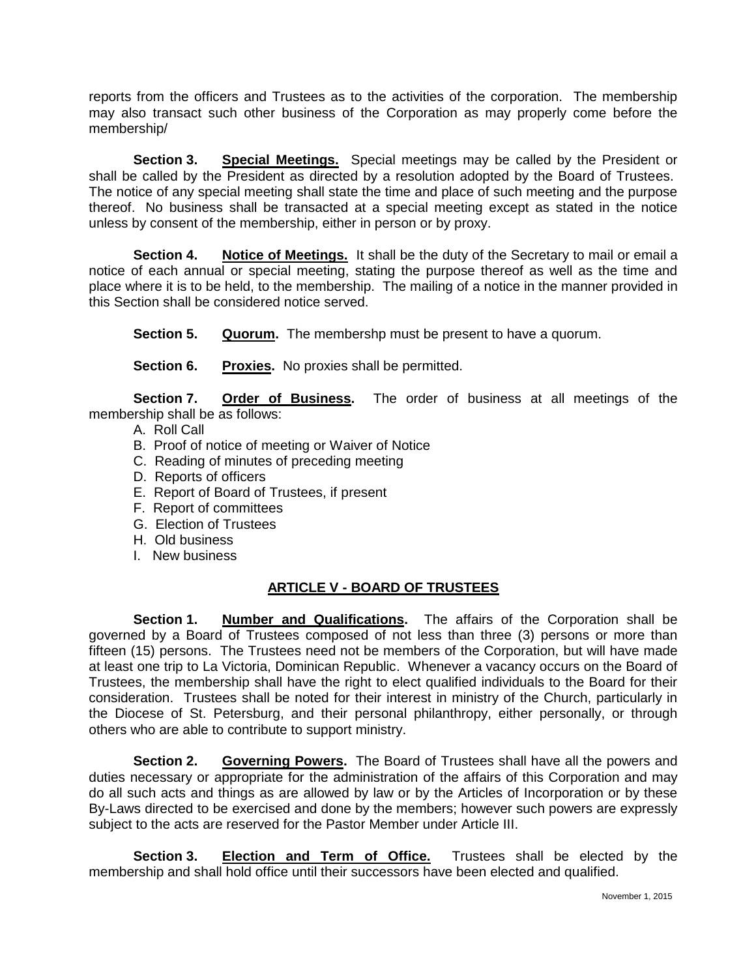reports from the officers and Trustees as to the activities of the corporation. The membership may also transact such other business of the Corporation as may properly come before the membership/

**Section 3. Special Meetings.** Special meetings may be called by the President or shall be called by the President as directed by a resolution adopted by the Board of Trustees. The notice of any special meeting shall state the time and place of such meeting and the purpose thereof. No business shall be transacted at a special meeting except as stated in the notice unless by consent of the membership, either in person or by proxy.

**Section 4.** Notice of Meetings. It shall be the duty of the Secretary to mail or email a notice of each annual or special meeting, stating the purpose thereof as well as the time and place where it is to be held, to the membership. The mailing of a notice in the manner provided in this Section shall be considered notice served.

**Section 5. Quorum.** The membershp must be present to have a quorum.

**Section 6. Proxies.** No proxies shall be permitted.

**Section 7. Order of Business.** The order of business at all meetings of the membership shall be as follows:

- A. Roll Call
- B. Proof of notice of meeting or Waiver of Notice
- C. Reading of minutes of preceding meeting
- D. Reports of officers
- E. Report of Board of Trustees, if present
- F. Report of committees
- G. Election of Trustees
- H. Old business
- I. New business

## **ARTICLE V - BOARD OF TRUSTEES**

**Section 1. Number and Qualifications.** The affairs of the Corporation shall be governed by a Board of Trustees composed of not less than three (3) persons or more than fifteen (15) persons. The Trustees need not be members of the Corporation, but will have made at least one trip to La Victoria, Dominican Republic. Whenever a vacancy occurs on the Board of Trustees, the membership shall have the right to elect qualified individuals to the Board for their consideration. Trustees shall be noted for their interest in ministry of the Church, particularly in the Diocese of St. Petersburg, and their personal philanthropy, either personally, or through others who are able to contribute to support ministry.

**Section 2. Governing Powers.** The Board of Trustees shall have all the powers and duties necessary or appropriate for the administration of the affairs of this Corporation and may do all such acts and things as are allowed by law or by the Articles of Incorporation or by these By-Laws directed to be exercised and done by the members; however such powers are expressly subject to the acts are reserved for the Pastor Member under Article III.

**Section 3. Election and Term of Office.** Trustees shall be elected by the membership and shall hold office until their successors have been elected and qualified.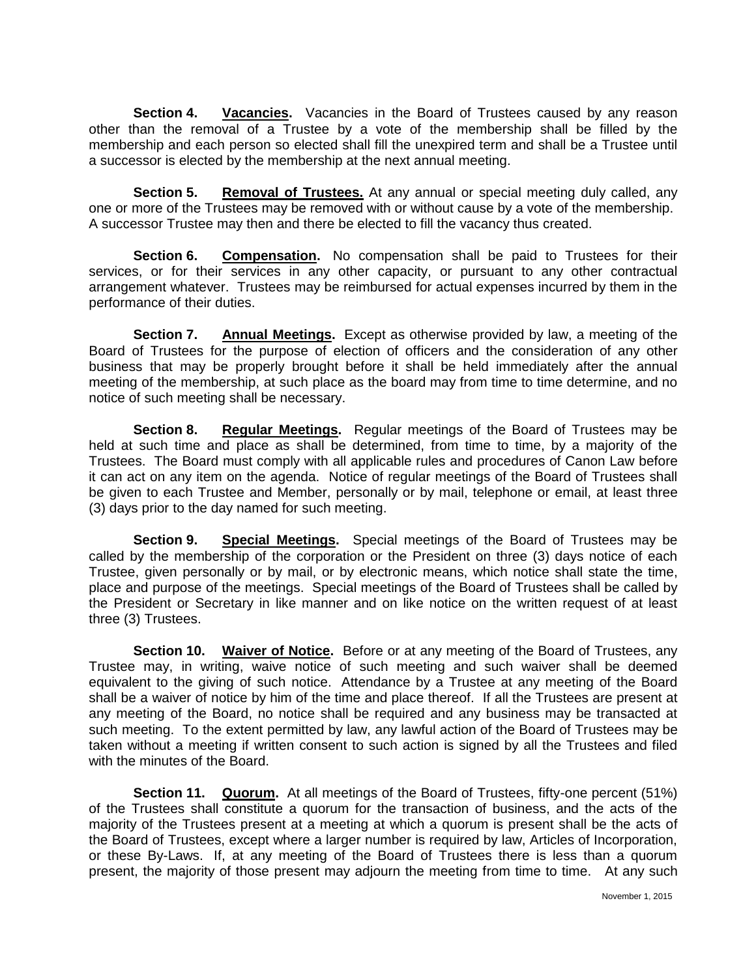**Section 4. Vacancies.** Vacancies in the Board of Trustees caused by any reason other than the removal of a Trustee by a vote of the membership shall be filled by the membership and each person so elected shall fill the unexpired term and shall be a Trustee until a successor is elected by the membership at the next annual meeting.

**Section 5. Removal of Trustees.** At any annual or special meeting duly called, any one or more of the Trustees may be removed with or without cause by a vote of the membership. A successor Trustee may then and there be elected to fill the vacancy thus created.

**Section 6. Compensation.** No compensation shall be paid to Trustees for their services, or for their services in any other capacity, or pursuant to any other contractual arrangement whatever. Trustees may be reimbursed for actual expenses incurred by them in the performance of their duties.

**Section 7. Annual Meetings.** Except as otherwise provided by law, a meeting of the Board of Trustees for the purpose of election of officers and the consideration of any other business that may be properly brought before it shall be held immediately after the annual meeting of the membership, at such place as the board may from time to time determine, and no notice of such meeting shall be necessary.

**Section 8. Regular Meetings.** Regular meetings of the Board of Trustees may be held at such time and place as shall be determined, from time to time, by a majority of the Trustees. The Board must comply with all applicable rules and procedures of Canon Law before it can act on any item on the agenda. Notice of regular meetings of the Board of Trustees shall be given to each Trustee and Member, personally or by mail, telephone or email, at least three (3) days prior to the day named for such meeting.

**Section 9. Special Meetings.** Special meetings of the Board of Trustees may be called by the membership of the corporation or the President on three (3) days notice of each Trustee, given personally or by mail, or by electronic means, which notice shall state the time, place and purpose of the meetings. Special meetings of the Board of Trustees shall be called by the President or Secretary in like manner and on like notice on the written request of at least three (3) Trustees.

**Section 10. Waiver of Notice.** Before or at any meeting of the Board of Trustees, any Trustee may, in writing, waive notice of such meeting and such waiver shall be deemed equivalent to the giving of such notice. Attendance by a Trustee at any meeting of the Board shall be a waiver of notice by him of the time and place thereof. If all the Trustees are present at any meeting of the Board, no notice shall be required and any business may be transacted at such meeting. To the extent permitted by law, any lawful action of the Board of Trustees may be taken without a meeting if written consent to such action is signed by all the Trustees and filed with the minutes of the Board.

**Section 11. Quorum.** At all meetings of the Board of Trustees, fifty-one percent (51%) of the Trustees shall constitute a quorum for the transaction of business, and the acts of the majority of the Trustees present at a meeting at which a quorum is present shall be the acts of the Board of Trustees, except where a larger number is required by law, Articles of Incorporation, or these By-Laws. If, at any meeting of the Board of Trustees there is less than a quorum present, the majority of those present may adjourn the meeting from time to time. At any such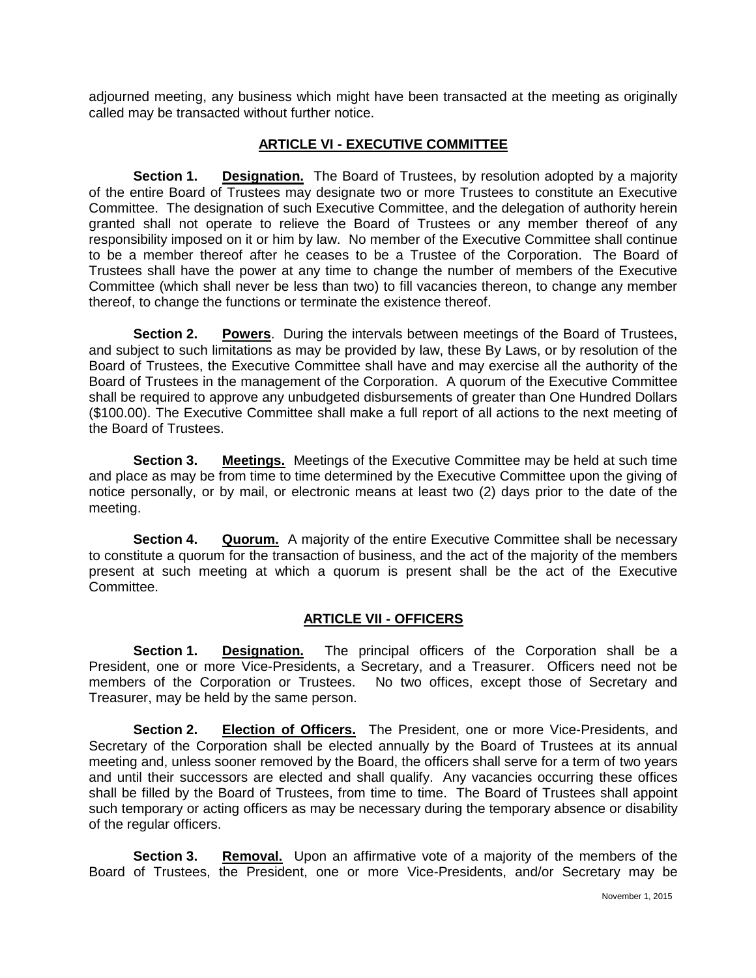adjourned meeting, any business which might have been transacted at the meeting as originally called may be transacted without further notice.

#### **ARTICLE VI - EXECUTIVE COMMITTEE**

**Section 1. Designation.** The Board of Trustees, by resolution adopted by a majority of the entire Board of Trustees may designate two or more Trustees to constitute an Executive Committee. The designation of such Executive Committee, and the delegation of authority herein granted shall not operate to relieve the Board of Trustees or any member thereof of any responsibility imposed on it or him by law. No member of the Executive Committee shall continue to be a member thereof after he ceases to be a Trustee of the Corporation. The Board of Trustees shall have the power at any time to change the number of members of the Executive Committee (which shall never be less than two) to fill vacancies thereon, to change any member thereof, to change the functions or terminate the existence thereof.

**Section 2. Powers**. During the intervals between meetings of the Board of Trustees, and subject to such limitations as may be provided by law, these By Laws, or by resolution of the Board of Trustees, the Executive Committee shall have and may exercise all the authority of the Board of Trustees in the management of the Corporation. A quorum of the Executive Committee shall be required to approve any unbudgeted disbursements of greater than One Hundred Dollars (\$100.00). The Executive Committee shall make a full report of all actions to the next meeting of the Board of Trustees.

**Section 3. Meetings.** Meetings of the Executive Committee may be held at such time and place as may be from time to time determined by the Executive Committee upon the giving of notice personally, or by mail, or electronic means at least two (2) days prior to the date of the meeting.

**Section 4. Quorum.** A majority of the entire Executive Committee shall be necessary to constitute a quorum for the transaction of business, and the act of the majority of the members present at such meeting at which a quorum is present shall be the act of the Executive Committee.

## **ARTICLE VII - OFFICERS**

**Section 1. Designation.** The principal officers of the Corporation shall be a President, one or more Vice-Presidents, a Secretary, and a Treasurer. Officers need not be members of the Corporation or Trustees. No two offices, except those of Secretary and Treasurer, may be held by the same person.

**Section 2. Election of Officers.** The President, one or more Vice-Presidents, and Secretary of the Corporation shall be elected annually by the Board of Trustees at its annual meeting and, unless sooner removed by the Board, the officers shall serve for a term of two years and until their successors are elected and shall qualify. Any vacancies occurring these offices shall be filled by the Board of Trustees, from time to time. The Board of Trustees shall appoint such temporary or acting officers as may be necessary during the temporary absence or disability of the regular officers.

**Section 3. Removal.** Upon an affirmative vote of a majority of the members of the Board of Trustees, the President, one or more Vice-Presidents, and/or Secretary may be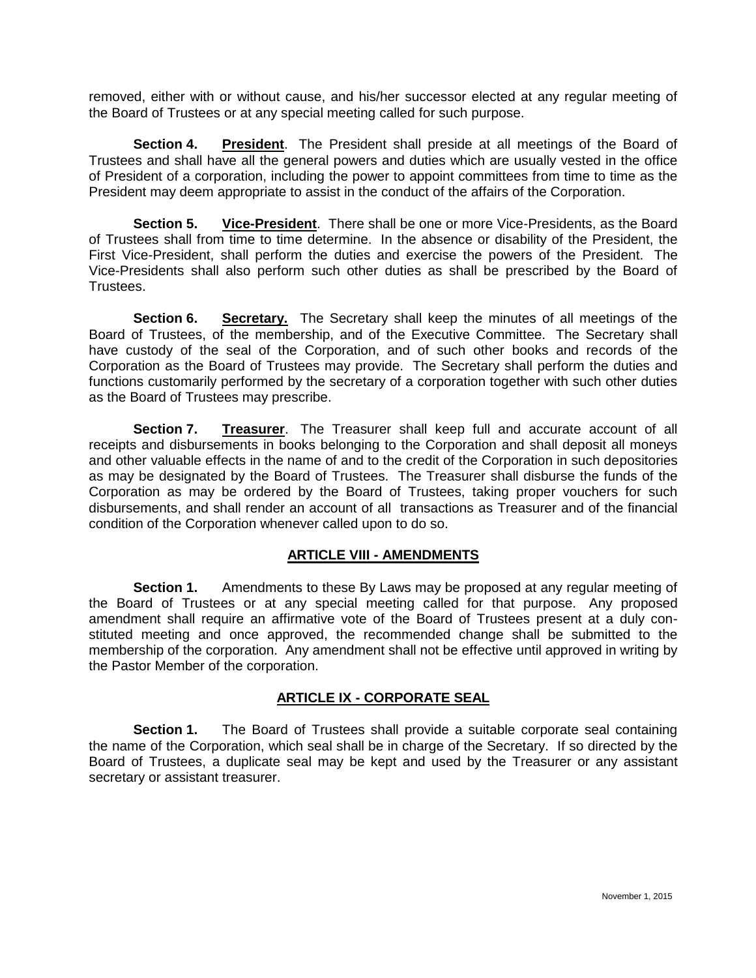removed, either with or without cause, and his/her successor elected at any regular meeting of the Board of Trustees or at any special meeting called for such purpose.

**Section 4. President**. The President shall preside at all meetings of the Board of Trustees and shall have all the general powers and duties which are usually vested in the office of President of a corporation, including the power to appoint committees from time to time as the President may deem appropriate to assist in the conduct of the affairs of the Corporation.

**Section 5. Vice-President**. There shall be one or more Vice-Presidents, as the Board of Trustees shall from time to time determine. In the absence or disability of the President, the First Vice-President, shall perform the duties and exercise the powers of the President. The Vice-Presidents shall also perform such other duties as shall be prescribed by the Board of Trustees.

**Section 6. Secretary.** The Secretary shall keep the minutes of all meetings of the Board of Trustees, of the membership, and of the Executive Committee. The Secretary shall have custody of the seal of the Corporation, and of such other books and records of the Corporation as the Board of Trustees may provide. The Secretary shall perform the duties and functions customarily performed by the secretary of a corporation together with such other duties as the Board of Trustees may prescribe.

**Section 7. Treasurer**. The Treasurer shall keep full and accurate account of all receipts and disbursements in books belonging to the Corporation and shall deposit all moneys and other valuable effects in the name of and to the credit of the Corporation in such depositories as may be designated by the Board of Trustees. The Treasurer shall disburse the funds of the Corporation as may be ordered by the Board of Trustees, taking proper vouchers for such disbursements, and shall render an account of all transactions as Treasurer and of the financial condition of the Corporation whenever called upon to do so.

#### **ARTICLE VIII - AMENDMENTS**

**Section 1.** Amendments to these By Laws may be proposed at any regular meeting of the Board of Trustees or at any special meeting called for that purpose. Any proposed amendment shall require an affirmative vote of the Board of Trustees present at a duly constituted meeting and once approved, the recommended change shall be submitted to the membership of the corporation. Any amendment shall not be effective until approved in writing by the Pastor Member of the corporation.

## **ARTICLE IX - CORPORATE SEAL**

**Section 1.** The Board of Trustees shall provide a suitable corporate seal containing the name of the Corporation, which seal shall be in charge of the Secretary. If so directed by the Board of Trustees, a duplicate seal may be kept and used by the Treasurer or any assistant secretary or assistant treasurer.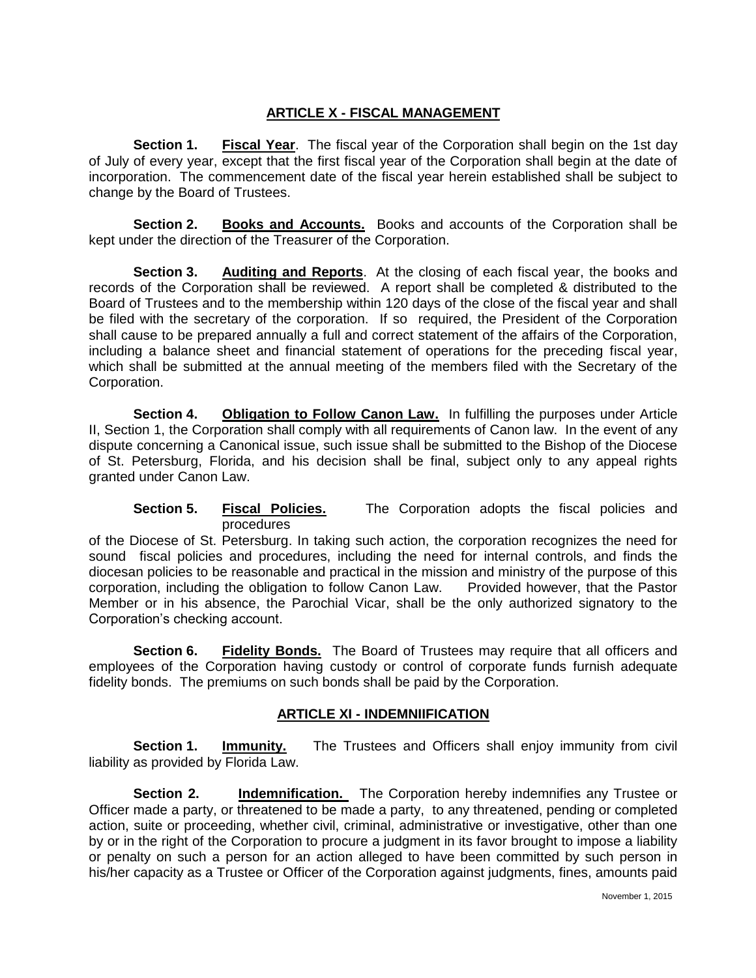# **ARTICLE X - FISCAL MANAGEMENT**

**Section 1. Fiscal Year**. The fiscal year of the Corporation shall begin on the 1st day of July of every year, except that the first fiscal year of the Corporation shall begin at the date of incorporation. The commencement date of the fiscal year herein established shall be subject to change by the Board of Trustees.

**Section 2. Books and Accounts.** Books and accounts of the Corporation shall be kept under the direction of the Treasurer of the Corporation.

**Section 3. Auditing and Reports**. At the closing of each fiscal year, the books and records of the Corporation shall be reviewed. A report shall be completed & distributed to the Board of Trustees and to the membership within 120 days of the close of the fiscal year and shall be filed with the secretary of the corporation. If so required, the President of the Corporation shall cause to be prepared annually a full and correct statement of the affairs of the Corporation, including a balance sheet and financial statement of operations for the preceding fiscal year, which shall be submitted at the annual meeting of the members filed with the Secretary of the Corporation.

**Section 4. Obligation to Follow Canon Law.** In fulfilling the purposes under Article II, Section 1, the Corporation shall comply with all requirements of Canon law. In the event of any dispute concerning a Canonical issue, such issue shall be submitted to the Bishop of the Diocese of St. Petersburg, Florida, and his decision shall be final, subject only to any appeal rights granted under Canon Law.

**Section 5. Fiscal Policies.** The Corporation adopts the fiscal policies and procedures

of the Diocese of St. Petersburg. In taking such action, the corporation recognizes the need for sound fiscal policies and procedures, including the need for internal controls, and finds the diocesan policies to be reasonable and practical in the mission and ministry of the purpose of this corporation, including the obligation to follow Canon Law. Provided however, that the Pastor Member or in his absence, the Parochial Vicar, shall be the only authorized signatory to the Corporation's checking account.

**Section 6. Fidelity Bonds.** The Board of Trustees may require that all officers and employees of the Corporation having custody or control of corporate funds furnish adequate fidelity bonds. The premiums on such bonds shall be paid by the Corporation.

## **ARTICLE XI - INDEMNIIFICATION**

**Section 1. Immunity.** The Trustees and Officers shall enjoy immunity from civil liability as provided by Florida Law.

**Section 2. Indemnification.** The Corporation hereby indemnifies any Trustee or Officer made a party, or threatened to be made a party, to any threatened, pending or completed action, suite or proceeding, whether civil, criminal, administrative or investigative, other than one by or in the right of the Corporation to procure a judgment in its favor brought to impose a liability or penalty on such a person for an action alleged to have been committed by such person in his/her capacity as a Trustee or Officer of the Corporation against judgments, fines, amounts paid